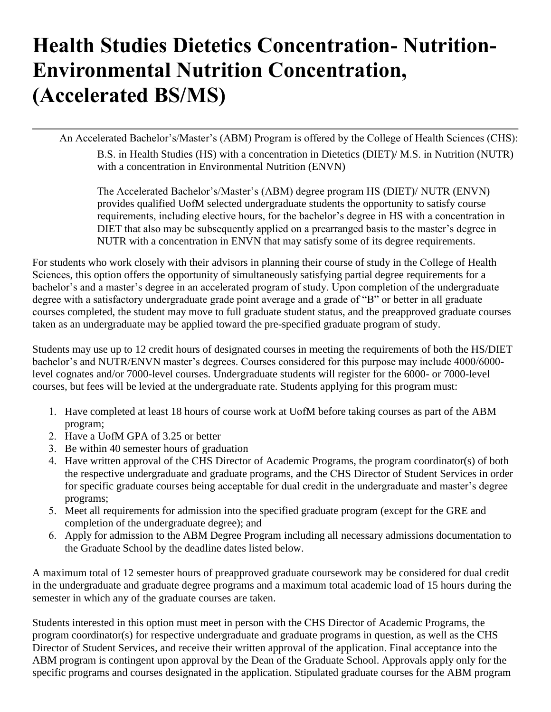## **Health Studies Dietetics Concentration- Nutrition-Environmental Nutrition Concentration, (Accelerated BS/MS)**

An Accelerated Bachelor's/Master's (ABM) Program is offered by the College of Health Sciences (CHS):

B.S. in Health Studies (HS) with a concentration in Dietetics (DIET)/ M.S. in Nutrition (NUTR) with a concentration in Environmental Nutrition (ENVN)

The Accelerated Bachelor's/Master's (ABM) degree program HS (DIET)/ NUTR (ENVN) provides qualified UofM selected undergraduate students the opportunity to satisfy course requirements, including elective hours, for the bachelor's degree in HS with a concentration in DIET that also may be subsequently applied on a prearranged basis to the master's degree in NUTR with a concentration in ENVN that may satisfy some of its degree requirements.

For students who work closely with their advisors in planning their course of study in the College of Health Sciences, this option offers the opportunity of simultaneously satisfying partial degree requirements for a bachelor's and a master's degree in an accelerated program of study. Upon completion of the undergraduate degree with a satisfactory undergraduate grade point average and a grade of "B" or better in all graduate courses completed, the student may move to full graduate student status, and the preapproved graduate courses taken as an undergraduate may be applied toward the pre-specified graduate program of study.

Students may use up to 12 credit hours of designated courses in meeting the requirements of both the HS/DIET bachelor's and NUTR/ENVN master's degrees. Courses considered for this purpose may include 4000/6000 level cognates and/or 7000-level courses. Undergraduate students will register for the 6000- or 7000-level courses, but fees will be levied at the undergraduate rate. Students applying for this program must:

- 1. Have completed at least 18 hours of course work at UofM before taking courses as part of the ABM program;
- 2. Have a UofM GPA of 3.25 or better
- 3. Be within 40 semester hours of graduation
- 4. Have written approval of the CHS Director of Academic Programs, the program coordinator(s) of both the respective undergraduate and graduate programs, and the CHS Director of Student Services in order for specific graduate courses being acceptable for dual credit in the undergraduate and master's degree programs;
- 5. Meet all requirements for admission into the specified graduate program (except for the GRE and completion of the undergraduate degree); and
- 6. Apply for admission to the ABM Degree Program including all necessary admissions documentation to the Graduate School by the deadline dates listed below.

A maximum total of 12 semester hours of preapproved graduate coursework may be considered for dual credit in the undergraduate and graduate degree programs and a maximum total academic load of 15 hours during the semester in which any of the graduate courses are taken.

Students interested in this option must meet in person with the CHS Director of Academic Programs, the program coordinator(s) for respective undergraduate and graduate programs in question, as well as the CHS Director of Student Services, and receive their written approval of the application. Final acceptance into the ABM program is contingent upon approval by the Dean of the Graduate School. Approvals apply only for the specific programs and courses designated in the application. Stipulated graduate courses for the ABM program